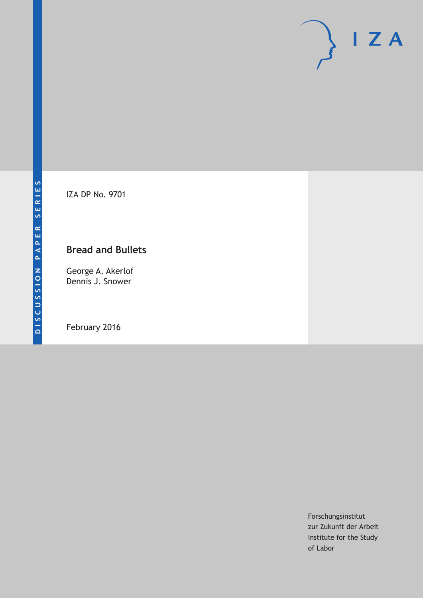

IZA DP No. 9701

## **Bread and Bullets**

George A. Akerlof Dennis J. Snower

February 2016

Forschungsinstitut zur Zukunft der Arbeit Institute for the Study of Labor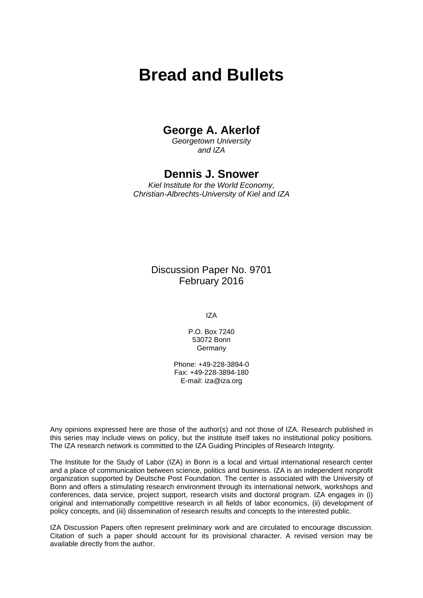# **Bread and Bullets**

## **George A. Akerlof**

*Georgetown University and IZA* 

## **Dennis J. Snower**

*Kiel Institute for the World Economy, Christian-Albrechts-University of Kiel and IZA* 

> Discussion Paper No. 9701 February 2016

> > IZA

P.O. Box 7240 53072 Bonn Germany

Phone: +49-228-3894-0 Fax: +49-228-3894-180 E-mail: iza@iza.org

Any opinions expressed here are those of the author(s) and not those of IZA. Research published in this series may include views on policy, but the institute itself takes no institutional policy positions. The IZA research network is committed to the IZA Guiding Principles of Research Integrity.

The Institute for the Study of Labor (IZA) in Bonn is a local and virtual international research center and a place of communication between science, politics and business. IZA is an independent nonprofit organization supported by Deutsche Post Foundation. The center is associated with the University of Bonn and offers a stimulating research environment through its international network, workshops and conferences, data service, project support, research visits and doctoral program. IZA engages in (i) original and internationally competitive research in all fields of labor economics, (ii) development of policy concepts, and (iii) dissemination of research results and concepts to the interested public.

IZA Discussion Papers often represent preliminary work and are circulated to encourage discussion. Citation of such a paper should account for its provisional character. A revised version may be available directly from the author.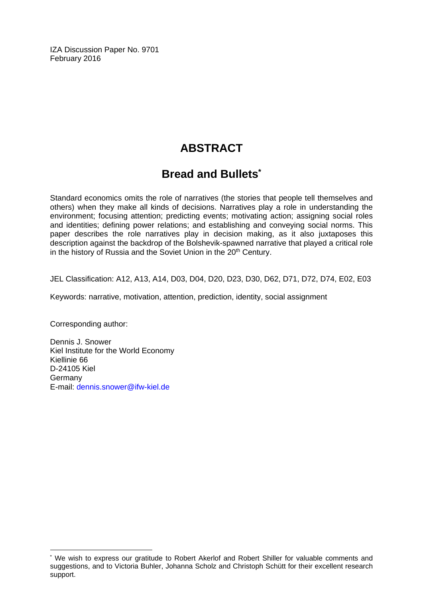IZA Discussion Paper No. 9701 February 2016

## **ABSTRACT**

## **Bread and Bullets\***

Standard economics omits the role of narratives (the stories that people tell themselves and others) when they make all kinds of decisions. Narratives play a role in understanding the environment; focusing attention; predicting events; motivating action; assigning social roles and identities; defining power relations; and establishing and conveying social norms. This paper describes the role narratives play in decision making, as it also juxtaposes this description against the backdrop of the Bolshevik-spawned narrative that played a critical role in the history of Russia and the Soviet Union in the 20<sup>th</sup> Century.

JEL Classification: A12, A13, A14, D03, D04, D20, D23, D30, D62, D71, D72, D74, E02, E03

Keywords: narrative, motivation, attention, prediction, identity, social assignment

Corresponding author:

Dennis J. Snower Kiel Institute for the World Economy Kiellinie 66 D-24105 Kiel Germany E-mail: dennis.snower@ifw-kiel.de

 $\overline{a}$ \* We wish to express our gratitude to Robert Akerlof and Robert Shiller for valuable comments and suggestions, and to Victoria Buhler, Johanna Scholz and Christoph Schütt for their excellent research support.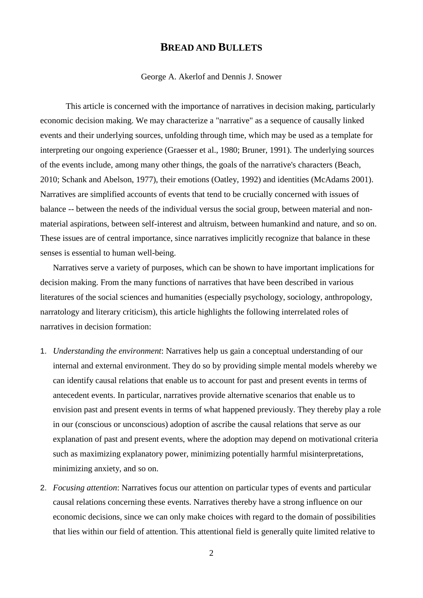## **BREAD AND BULLETS**

George A. Akerlof and Dennis J. Snower

This article is concerned with the importance of narratives in decision making, particularly economic decision making. We may characterize a "narrative" as a sequence of causally linked events and their underlying sources, unfolding through time, which may be used as a template for interpreting our ongoing experience (Graesser et al., 1980; Bruner, 1991). The underlying sources of the events include, among many other things, the goals of the narrative's characters (Beach, 2010; Schank and Abelson, 1977), their emotions (Oatley, 1992) and identities (McAdams 2001). Narratives are simplified accounts of events that tend to be crucially concerned with issues of balance -- between the needs of the individual versus the social group, between material and nonmaterial aspirations, between self-interest and altruism, between humankind and nature, and so on. These issues are of central importance, since narratives implicitly recognize that balance in these senses is essential to human well-being.

Narratives serve a variety of purposes, which can be shown to have important implications for decision making. From the many functions of narratives that have been described in various literatures of the social sciences and humanities (especially psychology, sociology, anthropology, narratology and literary criticism), this article highlights the following interrelated roles of narratives in decision formation:

- 1. *Understanding the environment*: Narratives help us gain a conceptual understanding of our internal and external environment. They do so by providing simple mental models whereby we can identify causal relations that enable us to account for past and present events in terms of antecedent events. In particular, narratives provide alternative scenarios that enable us to envision past and present events in terms of what happened previously. They thereby play a role in our (conscious or unconscious) adoption of ascribe the causal relations that serve as our explanation of past and present events, where the adoption may depend on motivational criteria such as maximizing explanatory power, minimizing potentially harmful misinterpretations, minimizing anxiety, and so on.
- 2. *Focusing attention*: Narratives focus our attention on particular types of events and particular causal relations concerning these events. Narratives thereby have a strong influence on our economic decisions, since we can only make choices with regard to the domain of possibilities that lies within our field of attention. This attentional field is generally quite limited relative to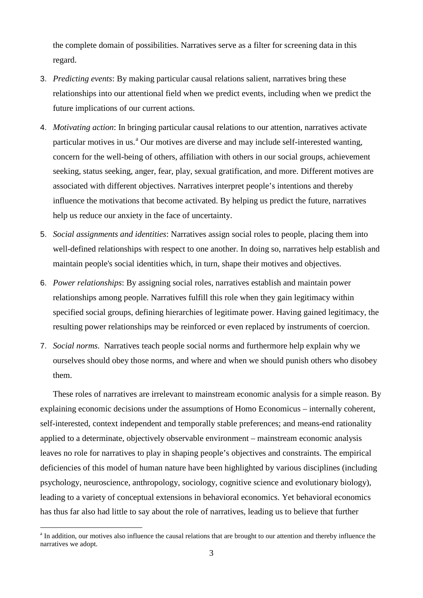the complete domain of possibilities. Narratives serve as a filter for screening data in this regard.

- 3. *Predicting events*: By making particular causal relations salient, narratives bring these relationships into our attentional field when we predict events, including when we predict the future implications of our current actions.
- 4. *Motivating action*: In bringing particular causal relations to our attention, narratives activate p[a](#page-4-0)rticular motives in us.<sup>a</sup> Our motives are diverse and may include self-interested wanting, concern for the well-being of others, affiliation with others in our social groups, achievement seeking, status seeking, anger, fear, play, sexual gratification, and more. Different motives are associated with different objectives. Narratives interpret people's intentions and thereby influence the motivations that become activated. By helping us predict the future, narratives help us reduce our anxiety in the face of uncertainty.
- 5. *Social assignments and identities*: Narratives assign social roles to people, placing them into well-defined relationships with respect to one another. In doing so, narratives help establish and maintain people's social identities which, in turn, shape their motives and objectives.
- 6. *Power relationships*: By assigning social roles, narratives establish and maintain power relationships among people. Narratives fulfill this role when they gain legitimacy within specified social groups, defining hierarchies of legitimate power. Having gained legitimacy, the resulting power relationships may be reinforced or even replaced by instruments of coercion.
- 7. *Social norms.* Narratives teach people social norms and furthermore help explain why we ourselves should obey those norms, and where and when we should punish others who disobey them.

These roles of narratives are irrelevant to mainstream economic analysis for a simple reason. By explaining economic decisions under the assumptions of Homo Economicus – internally coherent, self-interested, context independent and temporally stable preferences; and means-end rationality applied to a determinate, objectively observable environment – mainstream economic analysis leaves no role for narratives to play in shaping people's objectives and constraints. The empirical deficiencies of this model of human nature have been highlighted by various disciplines (including psychology, neuroscience, anthropology, sociology, cognitive science and evolutionary biology), leading to a variety of conceptual extensions in behavioral economics. Yet behavioral economics has thus far also had little to say about the role of narratives, leading us to believe that further

<span id="page-4-0"></span><sup>&</sup>lt;sup>a</sup> In addition, our motives also influence the causal relations that are brought to our attention and thereby influence the narratives we adopt.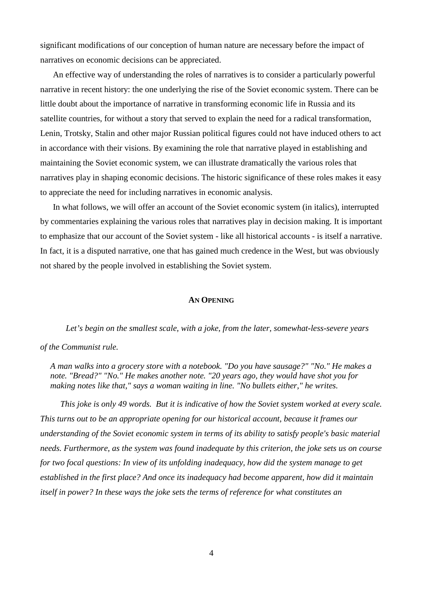significant modifications of our conception of human nature are necessary before the impact of narratives on economic decisions can be appreciated.

An effective way of understanding the roles of narratives is to consider a particularly powerful narrative in recent history: the one underlying the rise of the Soviet economic system. There can be little doubt about the importance of narrative in transforming economic life in Russia and its satellite countries, for without a story that served to explain the need for a radical transformation, Lenin, Trotsky, Stalin and other major Russian political figures could not have induced others to act in accordance with their visions. By examining the role that narrative played in establishing and maintaining the Soviet economic system, we can illustrate dramatically the various roles that narratives play in shaping economic decisions. The historic significance of these roles makes it easy to appreciate the need for including narratives in economic analysis.

In what follows, we will offer an account of the Soviet economic system (in italics), interrupted by commentaries explaining the various roles that narratives play in decision making. It is important to emphasize that our account of the Soviet system - like all historical accounts - is itself a narrative. In fact, it is a disputed narrative, one that has gained much credence in the West, but was obviously not shared by the people involved in establishing the Soviet system.

## **AN OPENING**

*Let's begin on the smallest scale, with a joke, from the later, somewhat-less-severe years* 

## *of the Communist rule.*

*A man walks into a grocery store with a notebook. "Do you have sausage?" "No." He makes a note. "Bread?" "No." He makes another note. "20 years ago, they would have shot you for making notes like that," says a woman waiting in line. "No bullets either," he writes.*

*This joke is only 49 words. But it is indicative of how the Soviet system worked at every scale. This turns out to be an appropriate opening for our historical account, because it frames our understanding of the Soviet economic system in terms of its ability to satisfy people's basic material needs. Furthermore, as the system was found inadequate by this criterion, the joke sets us on course for two focal questions: In view of its unfolding inadequacy, how did the system manage to get established in the first place? And once its inadequacy had become apparent, how did it maintain itself in power? In these ways the joke sets the terms of reference for what constitutes an*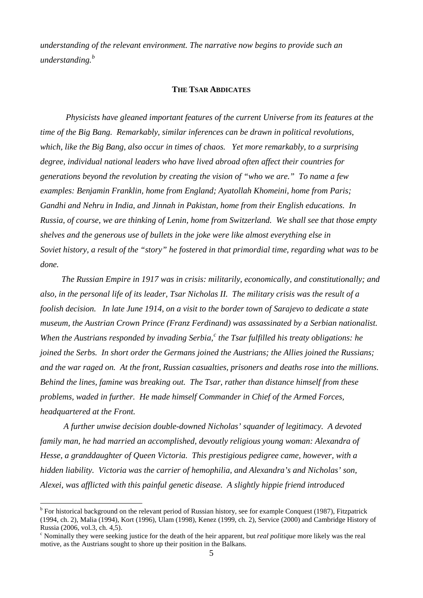*understanding of the relevant environment. The narrative now begins to provide such an understanding.[b](#page-6-0)*

### **THE TSAR ABDICATES**

*Physicists have gleaned important features of the current Universe from its features at the time of the Big Bang. Remarkably, similar inferences can be drawn in political revolutions, which, like the Big Bang, also occur in times of chaos. Yet more remarkably, to a surprising degree, individual national leaders who have lived abroad often affect their countries for generations beyond the revolution by creating the vision of "who we are." To name a few examples: Benjamin Franklin, home from England; Ayatollah Khomeini, home from Paris; Gandhi and Nehru in India, and Jinnah in Pakistan, home from their English educations. In Russia, of course, we are thinking of Lenin, home from Switzerland. We shall see that those empty shelves and the generous use of bullets in the joke were like almost everything else in* Soviet history, a result of the "story" he fostered in that primordial time, regarding what was to be *done.* 

 *The Russian Empire in 1917 was in crisis: militarily, economically, and constitutionally; and* also, in the personal life of its leader, Tsar Nicholas II. The military crisis was the result of a *foolish decision. In late June 1914, on a visit to the border town of Sarajevo to dedicate a state museum, the Austrian Crown Prince (Franz Ferdinand) was assassinated by a Serbian nationalist. When the Austrians responded by invading Serbia,[c](#page-6-1) the Tsar fulfilled his treaty obligations: he joined the Serbs. In short order the Germans joined the Austrians; the Allies joined the Russians; and the war raged on. At the front, Russian casualties, prisoners and deaths rose into the millions. Behind the lines, famine was breaking out. The Tsar, rather than distance himself from these problems, waded in further. He made himself Commander in Chief of the Armed Forces, headquartered at the Front.* 

 *A further unwise decision double-downed Nicholas' squander of legitimacy. A devoted family man, he had married an accomplished, devoutly religious young woman: Alexandra of Hesse, a granddaughter of Queen Victoria. This prestigious pedigree came, however, with a hidden liability. Victoria was the carrier of hemophilia, and Alexandra's and Nicholas' son, Alexei, was afflicted with this painful genetic disease. A slightly hippie friend introduced*

<span id="page-6-0"></span><sup>&</sup>lt;sup>b</sup> For historical background on the relevant period of Russian history, see for example Conquest (1987), Fitzpatrick (1994, ch. 2), Malia (1994), Kort (1996), Ulam (1998), Kenez (1999, ch. 2), Service (2000) and Cambridge History of Russia (2006, vol.3, ch. 4,5).

<span id="page-6-1"></span>Russia (2006, vol.3, ch. 4,5). <sup>c</sup> Nominally they were seeking justice for the death of the heir apparent, but *real politique* more likely was the real motive, as the Austrians sought to shore up their position in the Balkans.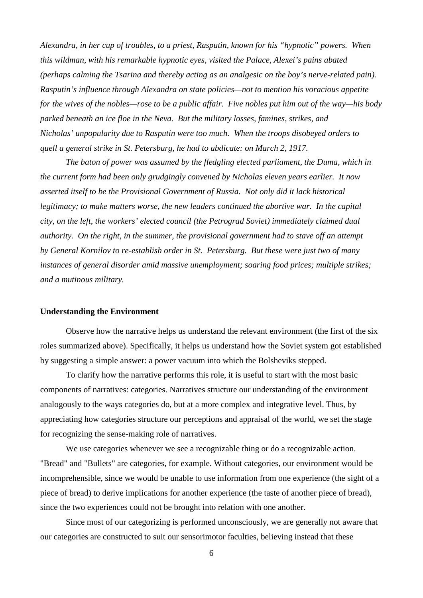*Alexandra, in her cup of troubles, to a priest, Rasputin, known for his "hypnotic" powers. When this wildman, with his remarkable hypnotic eyes, visited the Palace, Alexei's pains abated (perhaps calming the Tsarina and thereby acting as an analgesic on the boy's nerve-related pain). Rasputin's influence through Alexandra on state policies—not to mention his voracious appetite* for the wives of the nobles—rose to be a public affair. Five nobles put him out of the way—his body *parked beneath an ice floe in the Neva. But the military losses, famines, strikes, and Nicholas' unpopularity due to Rasputin were too much. When the troops disobeyed orders to quell a general strike in St. Petersburg, he had to abdicate: on March 2, 1917.*

*The baton of power was assumed by the fledgling elected parliament, the Duma, which in the current form had been only grudgingly convened by Nicholas eleven years earlier. It now asserted itself to be the Provisional Government of Russia. Not only did it lack historical legitimacy; to make matters worse, the new leaders continued the abortive war. In the capital city, on the left, the workers' elected council (the Petrograd Soviet) immediately claimed dual authority. On the right, in the summer, the provisional government had to stave off an attempt by General Kornilov to re-establish order in St. Petersburg. But these were just two of many instances of general disorder amid massive unemployment; soaring food prices; multiple strikes; and a mutinous military.* 

### **Understanding the Environment**

Observe how the narrative helps us understand the relevant environment (the first of the six roles summarized above). Specifically, it helps us understand how the Soviet system got established by suggesting a simple answer: a power vacuum into which the Bolsheviks stepped.

To clarify how the narrative performs this role, it is useful to start with the most basic components of narratives: categories. Narratives structure our understanding of the environment analogously to the ways categories do, but at a more complex and integrative level. Thus, by appreciating how categories structure our perceptions and appraisal of the world, we set the stage for recognizing the sense-making role of narratives.

We use categories whenever we see a recognizable thing or do a recognizable action. "Bread" and "Bullets" are categories, for example. Without categories, our environment would be incomprehensible, since we would be unable to use information from one experience (the sight of a piece of bread) to derive implications for another experience (the taste of another piece of bread), since the two experiences could not be brought into relation with one another.

Since most of our categorizing is performed unconsciously, we are generally not aware that our categories are constructed to suit our sensorimotor faculties, believing instead that these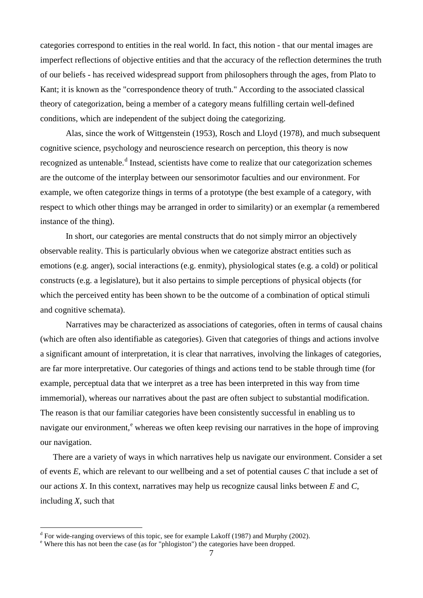categories correspond to entities in the real world. In fact, this notion - that our mental images are imperfect reflections of objective entities and that the accuracy of the reflection determines the truth of our beliefs - has received widespread support from philosophers through the ages, from Plato to Kant; it is known as the "correspondence theory of truth." According to the associated classical theory of categorization, being a member of a category means fulfilling certain well-defined conditions, which are independent of the subject doing the categorizing.

Alas, since the work of Wittgenstein (1953), Rosch and Lloyd (1978), and much subsequent cognitive science, psychology and neuroscience research on perception, this theory is now recognize[d](#page-8-0) as untenable.<sup>d</sup> Instead, scientists have come to realize that our categorization schemes are the outcome of the interplay between our sensorimotor faculties and our environment. For example, we often categorize things in terms of a prototype (the best example of a category, with respect to which other things may be arranged in order to similarity) or an exemplar (a remembered instance of the thing).

In short, our categories are mental constructs that do not simply mirror an objectively observable reality. This is particularly obvious when we categorize abstract entities such as emotions (e.g. anger), social interactions (e.g. enmity), physiological states (e.g. a cold) or political constructs (e.g. a legislature), but it also pertains to simple perceptions of physical objects (for which the perceived entity has been shown to be the outcome of a combination of optical stimuli and cognitive schemata).

Narratives may be characterized as associations of categories, often in terms of causal chains (which are often also identifiable as categories). Given that categories of things and actions involve a significant amount of interpretation, it is clear that narratives, involving the linkages of categories, are far more interpretative. Our categories of things and actions tend to be stable through time (for example, perceptual data that we interpret as a tree has been interpreted in this way from time immemorial), whereas our narratives about the past are often subject to substantial modification. The reason is that our familiar categories have been consistently successful in enabling us to navigat[e](#page-8-1) our environment,<sup>e</sup> whereas we often keep revising our narratives in the hope of improving our navigation.

There are a variety of ways in which narratives help us navigate our environment. Consider a set of events *E*, which are relevant to our wellbeing and a set of potential causes *C* that include a set of our actions *X*. In this context, narratives may help us recognize causal links between *E* and *C*, including *X*, such that

<span id="page-8-0"></span><sup>&</sup>lt;sup>d</sup> For wide-ranging overviews of this topic, see for example Lakoff (1987) and Murphy (2002).  $\degree$  Where this has not been the case (as for "phlogiston") the categories have been dropped.

<span id="page-8-1"></span>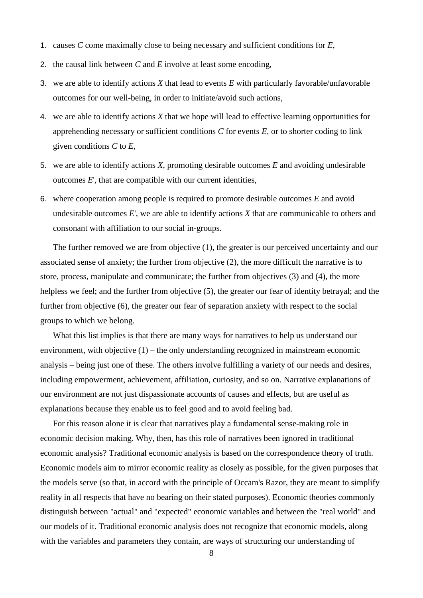- 1. causes *C* come maximally close to being necessary and sufficient conditions for *E*,
- 2. the causal link between *C* and *E* involve at least some encoding,
- 3. we are able to identify actions *X* that lead to events *E* with particularly favorable/unfavorable outcomes for our well-being, in order to initiate/avoid such actions,
- 4. we are able to identify actions *X* that we hope will lead to effective learning opportunities for apprehending necessary or sufficient conditions *C* for events *E*, or to shorter coding to link given conditions *C* to *E*,
- 5. we are able to identify actions *X*, promoting desirable outcomes *E* and avoiding undesirable outcomes *E*', that are compatible with our current identities,
- 6. where cooperation among people is required to promote desirable outcomes *E* and avoid undesirable outcomes *E*', we are able to identify actions *X* that are communicable to others and consonant with affiliation to our social in-groups.

The further removed we are from objective (1), the greater is our perceived uncertainty and our associated sense of anxiety; the further from objective (2), the more difficult the narrative is to store, process, manipulate and communicate; the further from objectives (3) and (4), the more helpless we feel; and the further from objective (5), the greater our fear of identity betrayal; and the further from objective (6), the greater our fear of separation anxiety with respect to the social groups to which we belong.

What this list implies is that there are many ways for narratives to help us understand our environment, with objective  $(1)$  – the only understanding recognized in mainstream economic analysis – being just one of these. The others involve fulfilling a variety of our needs and desires, including empowerment, achievement, affiliation, curiosity, and so on. Narrative explanations of our environment are not just dispassionate accounts of causes and effects, but are useful as explanations because they enable us to feel good and to avoid feeling bad.

For this reason alone it is clear that narratives play a fundamental sense-making role in economic decision making. Why, then, has this role of narratives been ignored in traditional economic analysis? Traditional economic analysis is based on the correspondence theory of truth. Economic models aim to mirror economic reality as closely as possible, for the given purposes that the models serve (so that, in accord with the principle of Occam's Razor, they are meant to simplify reality in all respects that have no bearing on their stated purposes). Economic theories commonly distinguish between "actual" and "expected" economic variables and between the "real world" and our models of it. Traditional economic analysis does not recognize that economic models, along with the variables and parameters they contain, are ways of structuring our understanding of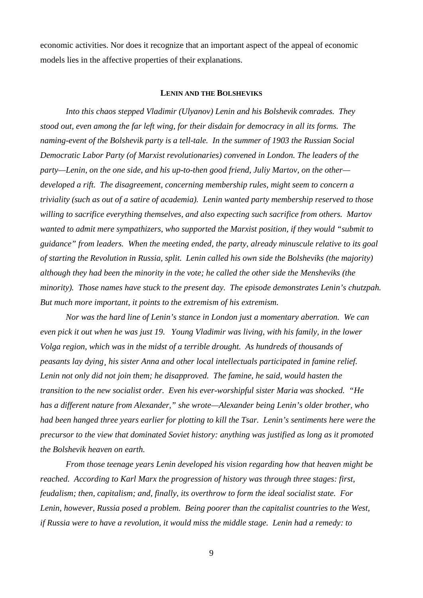economic activities. Nor does it recognize that an important aspect of the appeal of economic models lies in the affective properties of their explanations.

#### **LENIN AND THE BOLSHEVIKS**

*Into this chaos stepped Vladimir (Ulyanov) Lenin and his Bolshevik comrades. They stood out, even among the far left wing, for their disdain for democracy in all its forms. The naming-event of the Bolshevik party is a tell-tale. In the summer of 1903 the Russian Social Democratic Labor Party (of Marxist revolutionaries) convened in London. The leaders of the party—Lenin, on the one side, and his up-to-then good friend, Juliy Martov, on the other developed a rift. The disagreement, concerning membership rules, might seem to concern a triviality (such as out of a satire of academia). Lenin wanted party membership reserved to those willing to sacrifice everything themselves, and also expecting such sacrifice from others. Martov wanted to admit mere sympathizers, who supported the Marxist position, if they would "submit to guidance" from leaders. When the meeting ended, the party, already minuscule relative to its goal of starting the Revolution in Russia, split. Lenin called his own side the Bolsheviks (the majority) although they had been the minority in the vote; he called the other side the Mensheviks (the minority). Those names have stuck to the present day. The episode demonstrates Lenin's chutzpah. But much more important, it points to the extremism of his extremism.* 

*Nor was the hard line of Lenin's stance in London just a momentary aberration. We can even pick it out when he was just 19. Young Vladimir was living, with his family, in the lower Volga region, which was in the midst of a terrible drought. As hundreds of thousands of peasants lay dying¸ his sister Anna and other local intellectuals participated in famine relief. Lenin not only did not join them; he disapproved. The famine, he said, would hasten the transition to the new socialist order. Even his ever-worshipful sister Maria was shocked. "He has a different nature from Alexander," she wrote—Alexander being Lenin's older brother, who had been hanged three years earlier for plotting to kill the Tsar. Lenin's sentiments here were the precursor to the view that dominated Soviet history: anything was justified as long as it promoted the Bolshevik heaven on earth.* 

*From those teenage years Lenin developed his vision regarding how that heaven might be reached. According to Karl Marx the progression of history was through three stages: first, feudalism; then, capitalism; and, finally, its overthrow to form the ideal socialist state. For Lenin, however, Russia posed a problem. Being poorer than the capitalist countries to the West, if Russia were to have a revolution, it would miss the middle stage. Lenin had a remedy: to*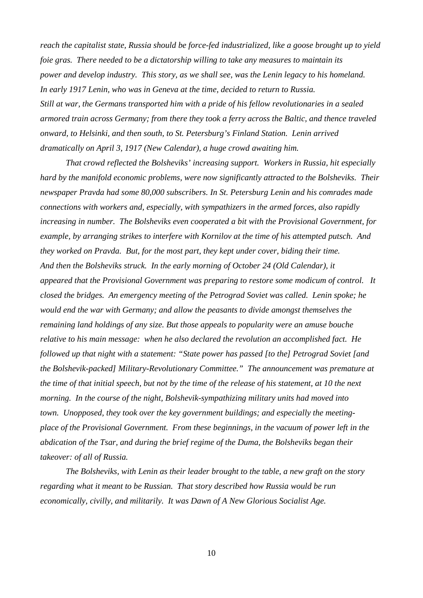*reach the capitalist state, Russia should be force-fed industrialized, like a goose brought up to yield foie gras. There needed to be a dictatorship willing to take any measures to maintain its power and develop industry. This story, as we shall see, was the Lenin legacy to his homeland. In early 1917 Lenin, who was in Geneva at the time, decided to return to Russia. Still at war, the Germans transported him with a pride of his fellow revolutionaries in a sealed armored train across Germany; from there they took a ferry across the Baltic, and thence traveled onward, to Helsinki, and then south, to St. Petersburg's Finland Station. Lenin arrived dramatically on April 3, 1917 (New Calendar), a huge crowd awaiting him.* 

*That crowd reflected the Bolsheviks' increasing support. Workers in Russia, hit especially hard by the manifold economic problems, were now significantly attracted to the Bolsheviks. Their newspaper Pravda had some 80,000 subscribers. In St. Petersburg Lenin and his comrades made connections with workers and, especially, with sympathizers in the armed forces, also rapidly increasing in number. The Bolsheviks even cooperated a bit with the Provisional Government, for example, by arranging strikes to interfere with Kornilov at the time of his attempted putsch. And they worked on Pravda. But, for the most part, they kept under cover, biding their time. And then the Bolsheviks struck. In the early morning of October 24 (Old Calendar), it appeared that the Provisional Government was preparing to restore some modicum of control. It closed the bridges. An emergency meeting of the Petrograd Soviet was called. Lenin spoke; he would end the war with Germany; and allow the peasants to divide amongst themselves the remaining land holdings of any size. But those appeals to popularity were an amuse bouche relative to his main message: when he also declared the revolution an accomplished fact. He followed up that night with a statement: "State power has passed [to the] Petrograd Soviet [and the Bolshevik-packed] Military-Revolutionary Committee." The announcement was premature at* the time of that initial speech, but not by the time of the release of his statement, at 10 the next *morning. In the course of the night, Bolshevik-sympathizing military units had moved into town. Unopposed, they took over the key government buildings; and especially the meetingplace of the Provisional Government. From these beginnings, in the vacuum of power left in the abdication of the Tsar, and during the brief regime of the Duma, the Bolsheviks began their takeover: of all of Russia.*

*The Bolsheviks, with Lenin as their leader brought to the table, a new graft on the story regarding what it meant to be Russian. That story described how Russia would be run economically, civilly, and militarily. It was Dawn of A New Glorious Socialist Age.*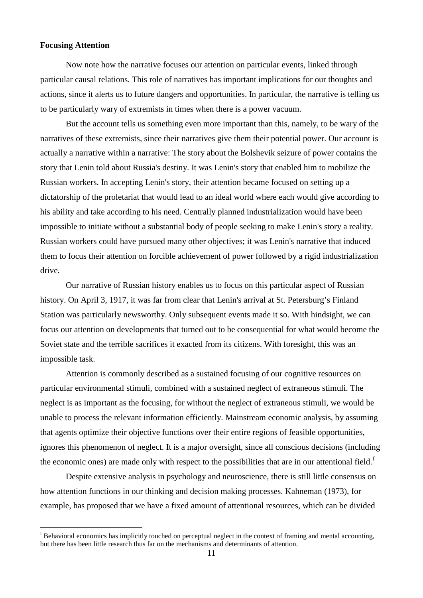## **Focusing Attention**

Now note how the narrative focuses our attention on particular events, linked through particular causal relations. This role of narratives has important implications for our thoughts and actions, since it alerts us to future dangers and opportunities. In particular, the narrative is telling us to be particularly wary of extremists in times when there is a power vacuum.

But the account tells us something even more important than this, namely, to be wary of the narratives of these extremists, since their narratives give them their potential power. Our account is actually a narrative within a narrative: The story about the Bolshevik seizure of power contains the story that Lenin told about Russia's destiny. It was Lenin's story that enabled him to mobilize the Russian workers. In accepting Lenin's story, their attention became focused on setting up a dictatorship of the proletariat that would lead to an ideal world where each would give according to his ability and take according to his need. Centrally planned industrialization would have been impossible to initiate without a substantial body of people seeking to make Lenin's story a reality. Russian workers could have pursued many other objectives; it was Lenin's narrative that induced them to focus their attention on forcible achievement of power followed by a rigid industrialization drive.

Our narrative of Russian history enables us to focus on this particular aspect of Russian history. On April 3, 1917, it was far from clear that Lenin's arrival at St. Petersburg's Finland Station was particularly newsworthy. Only subsequent events made it so. With hindsight, we can focus our attention on developments that turned out to be consequential for what would become the Soviet state and the terrible sacrifices it exacted from its citizens. With foresight, this was an impossible task.

Attention is commonly described as a sustained focusing of our cognitive resources on particular environmental stimuli, combined with a sustained neglect of extraneous stimuli. The neglect is as important as the focusing, for without the neglect of extraneous stimuli, we would be unable to process the relevant information efficiently. Mainstream economic analysis, by assuming that agents optimize their objective functions over their entire regions of feasible opportunities, ignores this phenomenon of neglect. It is a major oversight, since all conscious decisions (including the economic ones) are made only with respect to the possibilities that are in our attentional [f](#page-12-0)ield.<sup> $<sup>t</sup>$ </sup></sup>

Despite extensive analysis in psychology and neuroscience, there is still little consensus on how attention functions in our thinking and decision making processes. Kahneman (1973), for example, has proposed that we have a fixed amount of attentional resources, which can be divided

<span id="page-12-0"></span>f Behavioral economics has implicitly touched on perceptual neglect in the context of framing and mental accounting, but there has been little research thus far on the mechanisms and determinants of attention.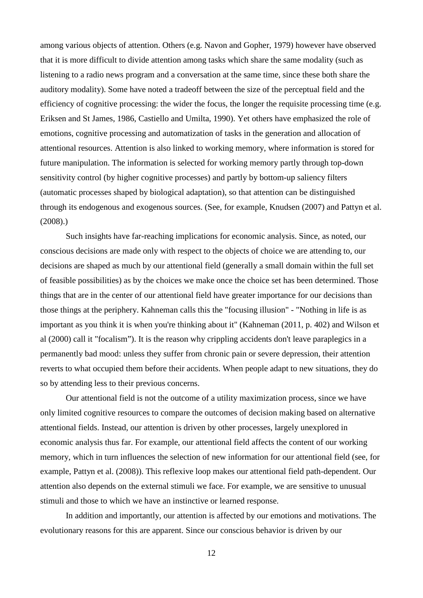among various objects of attention. Others (e.g. Navon and Gopher, 1979) however have observed that it is more difficult to divide attention among tasks which share the same modality (such as listening to a radio news program and a conversation at the same time, since these both share the auditory modality). Some have noted a tradeoff between the size of the perceptual field and the efficiency of cognitive processing: the wider the focus, the longer the requisite processing time (e.g. Eriksen and St James, 1986, Castiello and Umilta, 1990). Yet others have emphasized the role of emotions, cognitive processing and automatization of tasks in the generation and allocation of attentional resources. Attention is also linked to working memory, where information is stored for future manipulation. The information is selected for working memory partly through top-down sensitivity control (by higher cognitive processes) and partly by bottom-up saliency filters (automatic processes shaped by biological adaptation), so that attention can be distinguished through its endogenous and exogenous sources. (See, for example, Knudsen (2007) and Pattyn et al. (2008).)

Such insights have far-reaching implications for economic analysis. Since, as noted, our conscious decisions are made only with respect to the objects of choice we are attending to, our decisions are shaped as much by our attentional field (generally a small domain within the full set of feasible possibilities) as by the choices we make once the choice set has been determined. Those things that are in the center of our attentional field have greater importance for our decisions than those things at the periphery. Kahneman calls this the "focusing illusion" - "Nothing in life is as important as you think it is when you're thinking about it" (Kahneman (2011, p. 402) and Wilson et al (2000) call it "focalism"). It is the reason why crippling accidents don't leave paraplegics in a permanently bad mood: unless they suffer from chronic pain or severe depression, their attention reverts to what occupied them before their accidents. When people adapt to new situations, they do so by attending less to their previous concerns.

Our attentional field is not the outcome of a utility maximization process, since we have only limited cognitive resources to compare the outcomes of decision making based on alternative attentional fields. Instead, our attention is driven by other processes, largely unexplored in economic analysis thus far. For example, our attentional field affects the content of our working memory, which in turn influences the selection of new information for our attentional field (see, for example, Pattyn et al. (2008)). This reflexive loop makes our attentional field path-dependent. Our attention also depends on the external stimuli we face. For example, we are sensitive to unusual stimuli and those to which we have an instinctive or learned response.

In addition and importantly, our attention is affected by our emotions and motivations. The evolutionary reasons for this are apparent. Since our conscious behavior is driven by our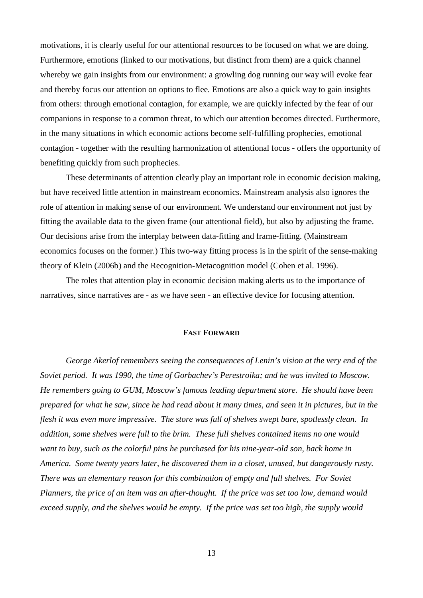motivations, it is clearly useful for our attentional resources to be focused on what we are doing. Furthermore, emotions (linked to our motivations, but distinct from them) are a quick channel whereby we gain insights from our environment: a growling dog running our way will evoke fear and thereby focus our attention on options to flee. Emotions are also a quick way to gain insights from others: through emotional contagion, for example, we are quickly infected by the fear of our companions in response to a common threat, to which our attention becomes directed. Furthermore, in the many situations in which economic actions become self-fulfilling prophecies, emotional contagion - together with the resulting harmonization of attentional focus - offers the opportunity of benefiting quickly from such prophecies.

These determinants of attention clearly play an important role in economic decision making, but have received little attention in mainstream economics. Mainstream analysis also ignores the role of attention in making sense of our environment. We understand our environment not just by fitting the available data to the given frame (our attentional field), but also by adjusting the frame. Our decisions arise from the interplay between data-fitting and frame-fitting. (Mainstream economics focuses on the former.) This two-way fitting process is in the spirit of the sense-making theory of Klein (2006b) and the Recognition-Metacognition model (Cohen et al. 1996).

The roles that attention play in economic decision making alerts us to the importance of narratives, since narratives are - as we have seen - an effective device for focusing attention.

#### **FAST FORWARD**

*George Akerlof remembers seeing the consequences of Lenin's vision at the very end of the Soviet period. It was 1990, the time of Gorbachev's Perestroika; and he was invited to Moscow. He remembers going to GUM, Moscow's famous leading department store. He should have been* prepared for what he saw, since he had read about it many times, and seen it in pictures, but in the *flesh it was even more impressive. The store was full of shelves swept bare, spotlessly clean. In addition, some shelves were full to the brim. These full shelves contained items no one would want to buy, such as the colorful pins he purchased for his nine-year-old son, back home in America. Some twenty years later, he discovered them in a closet, unused, but dangerously rusty. There was an elementary reason for this combination of empty and full shelves. For Soviet Planners, the price of an item was an after-thought. If the price was set too low, demand would exceed supply, and the shelves would be empty. If the price was set too high, the supply would*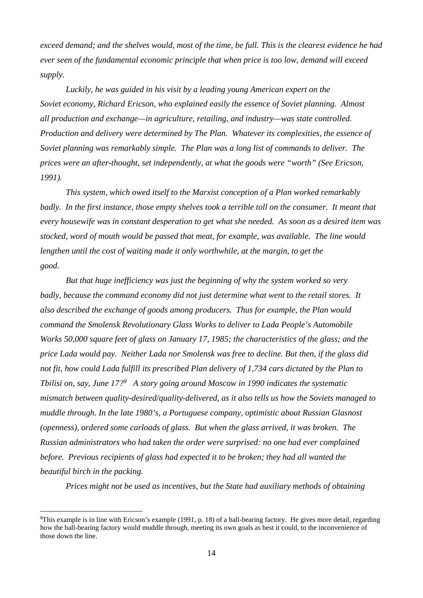exceed demand; and the shelves would, most of the time, be full. This is the clearest evidence he had *ever seen of the fundamental economic principle that when price is too low, demand will exceed supply.* 

*Luckily, he was guided in his visit by a leading young American expert on the Soviet economy, Richard Ericson, who explained easily the essence of Soviet planning. Almost all production and exchange—in agriculture, retailing, and industry—was state controlled. Production and delivery were determined by The Plan. Whatever its complexities, the essence of Soviet planning was remarkably simple. The Plan was a long list of commands to deliver. The prices were an after-thought, set independently, at what the goods were "worth" (See Ericson, 1991).* 

*This system, which owed itself to the Marxist conception of a Plan worked remarkably badly. In the first instance, those empty shelves took a terrible toll on the consumer. It meant that every housewife was in constant desperation to get what she needed. As soon as a desired item was stocked, word of mouth would be passed that meat, for example, was available. The line would lengthen until the cost of waiting made it only worthwhile, at the margin, to get the good.* 

*But that huge inefficiency was just the beginning of why the system worked so very badly, because the command economy did not just determine what went to the retail stores. It also described the exchange of goods among producers. Thus for example, the Plan would command the Smolensk Revolutionary Glass Works to deliver to Lada People's Automobile Works 50,000 square feet of glass on January 17, 1985; the characteristics of the glass; and the price Lada would pay. Neither Lada nor Smolensk was free to decline. But then, if the glass did not fit, how could Lada fulfill its prescribed Plan delivery of 1,734 cars dictated by the Plan to Tbilisi on, say, June 17?[g](#page-15-0) A story going around Moscow in 1990 indicates the systematic mismatch between quality-desired/quality-delivered, as it also tells us how the Soviets managed to muddle through. In the late 1980's, a Portuguese company, optimistic about Russian Glasnost (openness), ordered some carloads of glass. But when the glass arrived, it was broken. The Russian administrators who had taken the order were surprised: no one had ever complained before. Previous recipients of glass had expected it to be broken; they had all wanted the beautiful birch in the packing.* 

*Prices might not be used as incentives, but the State had auxiliary methods of obtaining*

<span id="page-15-0"></span>l<br>g <sup>g</sup>This example is in line with Ericson's example (1991, p. 18) of a ball-bearing factory. He gives more detail, regarding how the ball-bearing factory would muddle through, meeting its own goals as best it could, to the inconvenience of those down the line.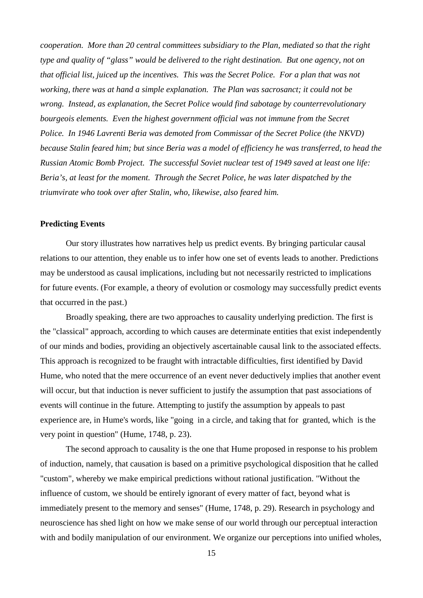*cooperation. More than 20 central committees subsidiary to the Plan, mediated so that the right type and quality of "glass" would be delivered to the right destination. But one agency, not on that official list, juiced up the incentives. This was the Secret Police. For a plan that was not working, there was at hand a simple explanation. The Plan was sacrosanct; it could not be wrong. Instead, as explanation, the Secret Police would find sabotage by counterrevolutionary bourgeois elements. Even the highest government official was not immune from the Secret Police. In 1946 Lavrenti Beria was demoted from Commissar of the Secret Police (the NKVD)* because Stalin feared him; but since Beria was a model of efficiency he was transferred, to head the *Russian Atomic Bomb Project. The successful Soviet nuclear test of 1949 saved at least one life: Beria's, at least for the moment. Through the Secret Police, he was later dispatched by the triumvirate who took over after Stalin, who, likewise, also feared him.*

## **Predicting Events**

Our story illustrates how narratives help us predict events. By bringing particular causal relations to our attention, they enable us to infer how one set of events leads to another. Predictions may be understood as causal implications, including but not necessarily restricted to implications for future events. (For example, a theory of evolution or cosmology may successfully predict events that occurred in the past.)

Broadly speaking, there are two approaches to causality underlying prediction. The first is the "classical" approach, according to which causes are determinate entities that exist independently of our minds and bodies, providing an objectively ascertainable causal link to the associated effects. This approach is recognized to be fraught with intractable difficulties, first identified by David Hume, who noted that the mere occurrence of an event never deductively implies that another event will occur, but that induction is never sufficient to justify the assumption that past associations of events will continue in the future. Attempting to justify the assumption by appeals to past experience are, in Hume's words, like "going in a circle, and taking that for granted, which is the very point in question" (Hume, 1748, p. 23).

The second approach to causality is the one that Hume proposed in response to his problem of induction, namely, that causation is based on a primitive psychological disposition that he called "custom", whereby we make empirical predictions without rational justification. "Without the influence of custom, we should be entirely ignorant of every matter of fact, beyond what is immediately present to the memory and senses" (Hume, 1748, p. 29). Research in psychology and neuroscience has shed light on how we make sense of our world through our perceptual interaction with and bodily manipulation of our environment. We organize our perceptions into unified wholes,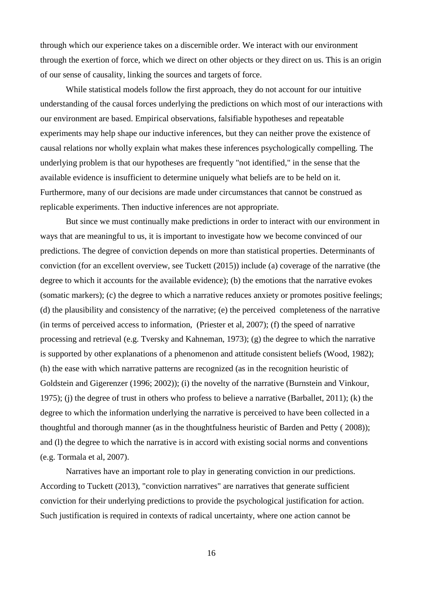through which our experience takes on a discernible order. We interact with our environment through the exertion of force, which we direct on other objects or they direct on us. This is an origin of our sense of causality, linking the sources and targets of force.

While statistical models follow the first approach, they do not account for our intuitive understanding of the causal forces underlying the predictions on which most of our interactions with our environment are based. Empirical observations, falsifiable hypotheses and repeatable experiments may help shape our inductive inferences, but they can neither prove the existence of causal relations nor wholly explain what makes these inferences psychologically compelling. The underlying problem is that our hypotheses are frequently "not identified," in the sense that the available evidence is insufficient to determine uniquely what beliefs are to be held on it. Furthermore, many of our decisions are made under circumstances that cannot be construed as replicable experiments. Then inductive inferences are not appropriate.

But since we must continually make predictions in order to interact with our environment in ways that are meaningful to us, it is important to investigate how we become convinced of our predictions. The degree of conviction depends on more than statistical properties. Determinants of conviction (for an excellent overview, see Tuckett (2015)) include (a) coverage of the narrative (the degree to which it accounts for the available evidence); (b) the emotions that the narrative evokes (somatic markers); (c) the degree to which a narrative reduces anxiety or promotes positive feelings; (d) the plausibility and consistency of the narrative; (e) the perceived completeness of the narrative (in terms of perceived access to information, (Priester et al, 2007); (f) the speed of narrative processing and retrieval (e.g. Tversky and Kahneman, 1973); (g) the degree to which the narrative is supported by other explanations of a phenomenon and attitude consistent beliefs (Wood, 1982); (h) the ease with which narrative patterns are recognized (as in the recognition heuristic of Goldstein and Gigerenzer (1996; 2002)); (i) the novelty of the narrative (Burnstein and Vinkour, 1975); (j) the degree of trust in others who profess to believe a narrative (Barballet, 2011); (k) the degree to which the information underlying the narrative is perceived to have been collected in a thoughtful and thorough manner (as in the thoughtfulness heuristic of Barden and Petty ( 2008)); and (l) the degree to which the narrative is in accord with existing social norms and conventions (e.g. Tormala et al, 2007).

Narratives have an important role to play in generating conviction in our predictions. According to Tuckett (2013), "conviction narratives" are narratives that generate sufficient conviction for their underlying predictions to provide the psychological justification for action. Such justification is required in contexts of radical uncertainty, where one action cannot be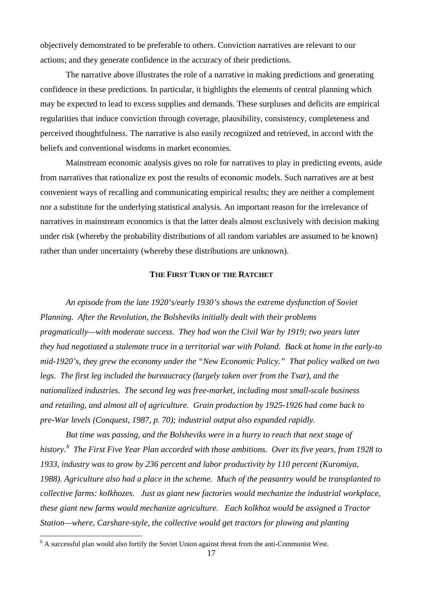objectively demonstrated to be preferable to others. Conviction narratives are relevant to our actions; and they generate confidence in the accuracy of their predictions.

The narrative above illustrates the role of a narrative in making predictions and generating confidence in these predictions. In particular, it highlights the elements of central planning which may be expected to lead to excess supplies and demands. These surpluses and deficits are empirical regularities that induce conviction through coverage, plausibility, consistency, completeness and perceived thoughtfulness. The narrative is also easily recognized and retrieved, in accord with the beliefs and conventional wisdoms in market economies.

Mainstream economic analysis gives no role for narratives to play in predicting events, aside from narratives that rationalize ex post the results of economic models. Such narratives are at best convenient ways of recalling and communicating empirical results; they are neither a complement nor a substitute for the underlying statistical analysis. An important reason for the irrelevance of narratives in mainstream economics is that the latter deals almost exclusively with decision making under risk (whereby the probability distributions of all random variables are assumed to be known) rather than under uncertainty (whereby these distributions are unknown).

## **THE FIRST TURN OF THE RATCHET**

*An episode from the late 1920's/early 1930's shows the extreme dysfunction of Soviet Planning. After the Revolution, the Bolsheviks initially dealt with their problems pragmatically—with moderate success. They had won the Civil War by 1919; two years later they had negotiated a stalemate truce in a territorial war with Poland. Back at home in the early-to mid-1920's, they grew the economy under the "New Economic Policy." That policy walked on two legs. The first leg included the bureaucracy (largely taken over from the Tsar), and the nationalized industries. The second leg was free-market, including most small-scale business and retailing, and almost all of agriculture. Grain production by 1925-1926 had come back to pre-War levels (Conquest, 1987, p. 70); industrial output also expanded rapidly.* 

*But time was passing, and the Bolsheviks were in a hurry to reach that next stage of history.[h](#page-18-0) The First Five Year Plan accorded with those ambitions. Over its five years, from 1928 to 1933, industry was to grow by 236 percent and labor productivity by 110 percent (Kuromiya, 1988). Agriculture also had a place in the scheme. Much of the peasantry would be transplanted to collective farms: kolkhozes. Just as giant new factories would mechanize the industrial workplace, these giant new farms would mechanize agriculture. Each kolkhoz would be assigned a Tractor Station—where, Carshare-style, the collective would get tractors for plowing and planting*

<span id="page-18-0"></span><sup>&</sup>lt;sup>h</sup> A successful plan would also fortify the Soviet Union against threat from the anti-Communist West.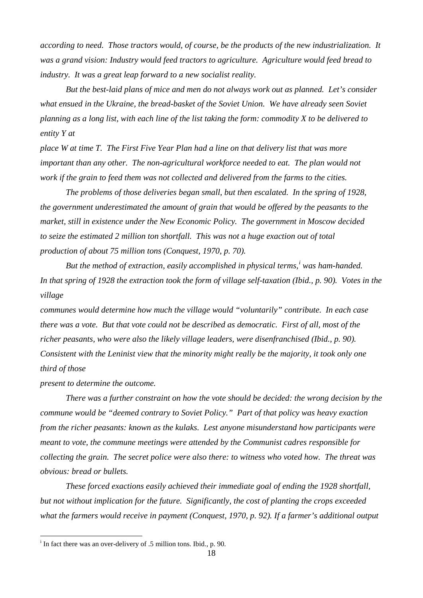*according to need. Those tractors would, of course, be the products of the new industrialization. It was a grand vision: Industry would feed tractors to agriculture. Agriculture would feed bread to industry. It was a great leap forward to a new socialist reality.* 

*But the best-laid plans of mice and men do not always work out as planned. Let's consider what ensued in the Ukraine, the bread-basket of the Soviet Union. We have already seen Soviet* planning as a long list, with each line of the list taking the form: commodity  $X$  to be delivered to *entity Y at*

*place W at time T. The First Five Year Plan had a line on that delivery list that was more important than any other. The non-agricultural workforce needed to eat. The plan would not work if the grain to feed them was not collected and delivered from the farms to the cities.* 

*The problems of those deliveries began small, but then escalated. In the spring of 1928, the government underestimated the amount of grain that would be offered by the peasants to the market, still in existence under the New Economic Policy. The government in Moscow decided to seize the estimated 2 million ton shortfall. This was not a huge exaction out of total production of about 75 million tons (Conquest, 1970, p. 70).*

*But the method of extraction, easily accomplished in physical terms,[i](#page-19-0) was ham-handed.*  In that spring of 1928 the extraction took the form of village self-taxation (Ibid., p. 90). Votes in the *village*

*communes would determine how much the village would "voluntarily" contribute. In each case there was a vote. But that vote could not be described as democratic. First of all, most of the richer peasants, who were also the likely village leaders, were disenfranchised (Ibid., p. 90). Consistent with the Leninist view that the minority might really be the majority, it took only one third of those*

*present to determine the outcome.*

*There was a further constraint on how the vote should be decided: the wrong decision by the commune would be "deemed contrary to Soviet Policy." Part of that policy was heavy exaction from the richer peasants: known as the kulaks. Lest anyone misunderstand how participants were meant to vote, the commune meetings were attended by the Communist cadres responsible for collecting the grain. The secret police were also there: to witness who voted how. The threat was obvious: bread or bullets.*

*These forced exactions easily achieved their immediate goal of ending the 1928 shortfall, but not without implication for the future. Significantly, the cost of planting the crops exceeded what the farmers would receive in payment (Conquest, 1970, p. 92). If a farmer's additional output*

<span id="page-19-0"></span><sup>|&</sup>lt;br>i  $\overline{I}$  In fact there was an over-delivery of .5 million tons. Ibid., p. 90.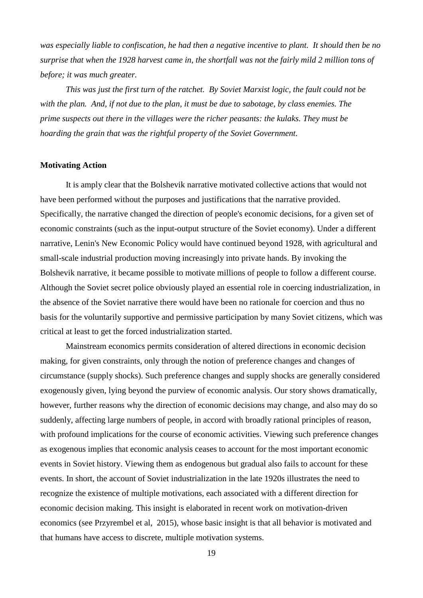*was especially liable to confiscation, he had then a negative incentive to plant. It should then be no* surprise that when the 1928 harvest came in, the shortfall was not the fairly mild 2 million tons of *before; it was much greater.* 

*This was just the first turn of the ratchet. By Soviet Marxist logic, the fault could not be* with the plan. And, if not due to the plan, it must be due to sabotage, by class enemies. The *prime suspects out there in the villages were the richer peasants: the kulaks. They must be hoarding the grain that was the rightful property of the Soviet Government.* 

## **Motivating Action**

It is amply clear that the Bolshevik narrative motivated collective actions that would not have been performed without the purposes and justifications that the narrative provided. Specifically, the narrative changed the direction of people's economic decisions, for a given set of economic constraints (such as the input-output structure of the Soviet economy). Under a different narrative, Lenin's New Economic Policy would have continued beyond 1928, with agricultural and small-scale industrial production moving increasingly into private hands. By invoking the Bolshevik narrative, it became possible to motivate millions of people to follow a different course. Although the Soviet secret police obviously played an essential role in coercing industrialization, in the absence of the Soviet narrative there would have been no rationale for coercion and thus no basis for the voluntarily supportive and permissive participation by many Soviet citizens, which was critical at least to get the forced industrialization started.

Mainstream economics permits consideration of altered directions in economic decision making, for given constraints, only through the notion of preference changes and changes of circumstance (supply shocks). Such preference changes and supply shocks are generally considered exogenously given, lying beyond the purview of economic analysis. Our story shows dramatically, however, further reasons why the direction of economic decisions may change, and also may do so suddenly, affecting large numbers of people, in accord with broadly rational principles of reason, with profound implications for the course of economic activities. Viewing such preference changes as exogenous implies that economic analysis ceases to account for the most important economic events in Soviet history. Viewing them as endogenous but gradual also fails to account for these events. In short, the account of Soviet industrialization in the late 1920s illustrates the need to recognize the existence of multiple motivations, each associated with a different direction for economic decision making. This insight is elaborated in recent work on motivation-driven economics (see Przyrembel et al, 2015), whose basic insight is that all behavior is motivated and that humans have access to discrete, multiple motivation systems.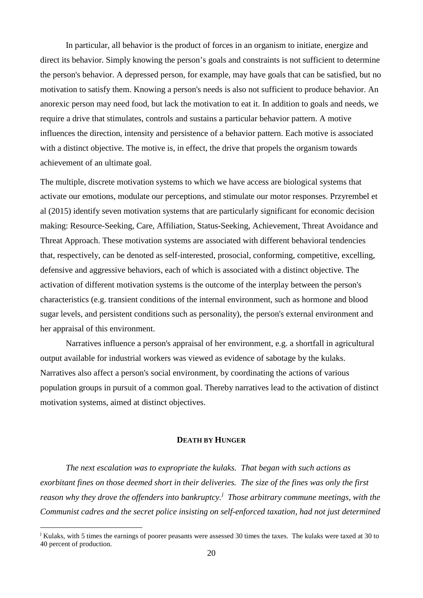In particular, all behavior is the product of forces in an organism to initiate, energize and direct its behavior. Simply knowing the person's goals and constraints is not sufficient to determine the person's behavior. A depressed person, for example, may have goals that can be satisfied, but no motivation to satisfy them. Knowing a person's needs is also not sufficient to produce behavior. An anorexic person may need food, but lack the motivation to eat it. In addition to goals and needs, we require a drive that stimulates, controls and sustains a particular behavior pattern. A motive influences the direction, intensity and persistence of a behavior pattern. Each motive is associated with a distinct objective. The motive is, in effect, the drive that propels the organism towards achievement of an ultimate goal.

The multiple, discrete motivation systems to which we have access are biological systems that activate our emotions, modulate our perceptions, and stimulate our motor responses. Przyrembel et al (2015) identify seven motivation systems that are particularly significant for economic decision making: Resource-Seeking, Care, Affiliation, Status-Seeking, Achievement, Threat Avoidance and Threat Approach. These motivation systems are associated with different behavioral tendencies that, respectively, can be denoted as self-interested, prosocial, conforming, competitive, excelling, defensive and aggressive behaviors, each of which is associated with a distinct objective. The activation of different motivation systems is the outcome of the interplay between the person's characteristics (e.g. transient conditions of the internal environment, such as hormone and blood sugar levels, and persistent conditions such as personality), the person's external environment and her appraisal of this environment.

Narratives influence a person's appraisal of her environment, e.g. a shortfall in agricultural output available for industrial workers was viewed as evidence of sabotage by the kulaks. Narratives also affect a person's social environment, by coordinating the actions of various population groups in pursuit of a common goal. Thereby narratives lead to the activation of distinct motivation systems, aimed at distinct objectives.

## **DEATH BY HUNGER**

*The next escalation was to expropriate the kulaks. That began with such actions as exorbitant fines on those deemed short in their deliveries. The size of the fines was only the first reason why they drove the offenders into bankruptcy.[j](#page-21-0) Those arbitrary commune meetings, with the Communist cadres and the secret police insisting on self-enforced taxation, had not just determined*

<span id="page-21-0"></span>j <sup>j</sup> Kulaks, with 5 times the earnings of poorer peasants were assessed 30 times the taxes. The kulaks were taxed at 30 to 40 percent of production.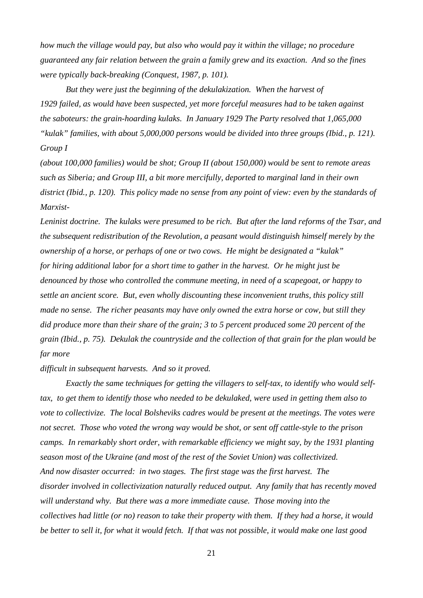*how much the village would pay, but also who would pay it within the village; no procedure guaranteed any fair relation between the grain a family grew and its exaction. And so the fines were typically back-breaking (Conquest, 1987, p. 101).* 

*But they were just the beginning of the dekulakization. When the harvest of 1929 failed, as would have been suspected, yet more forceful measures had to be taken against the saboteurs: the grain-hoarding kulaks. In January 1929 The Party resolved that 1,065,000 "kulak" families, with about 5,000,000 persons would be divided into three groups (Ibid., p. 121). Group I*

*(about 100,000 families) would be shot; Group II (about 150,000) would be sent to remote areas such as Siberia; and Group III, a bit more mercifully, deported to marginal land in their own* district (Ibid., p. 120). This policy made no sense from any point of view: even by the standards of *Marxist-*

*Leninist doctrine. The kulaks were presumed to be rich. But after the land reforms of the Tsar, and the subsequent redistribution of the Revolution, a peasant would distinguish himself merely by the ownership of a horse, or perhaps of one or two cows. He might be designated a "kulak" for hiring additional labor for a short time to gather in the harvest. Or he might just be denounced by those who controlled the commune meeting, in need of a scapegoat, or happy to settle an ancient score. But, even wholly discounting these inconvenient truths, this policy still made no sense. The richer peasants may have only owned the extra horse or cow, but still they* did produce more than their share of the grain; 3 to 5 percent produced some 20 percent of the *grain (Ibid., p. 75). Dekulak the countryside and the collection of that grain for the plan would be far more*

*difficult in subsequent harvests. And so it proved.*

*Exactly the same techniques for getting the villagers to self-tax, to identify who would self*tax, to get them to identify those who needed to be dekulaked, were used in getting them also to *vote to collectivize. The local Bolsheviks cadres would be present at the meetings. The votes were not secret. Those who voted the wrong way would be shot, or sent off cattle-style to the prison camps. In remarkably short order, with remarkable efficiency we might say, by the 1931 planting season most of the Ukraine (and most of the rest of the Soviet Union) was collectivized. And now disaster occurred: in two stages. The first stage was the first harvest. The disorder involved in collectivization naturally reduced output. Any family that has recently moved will understand why. But there was a more immediate cause. Those moving into the* collectives had little (or no) reason to take their property with them. If they had a horse, it would be better to sell it, for what it would fetch. If that was not possible, it would make one last good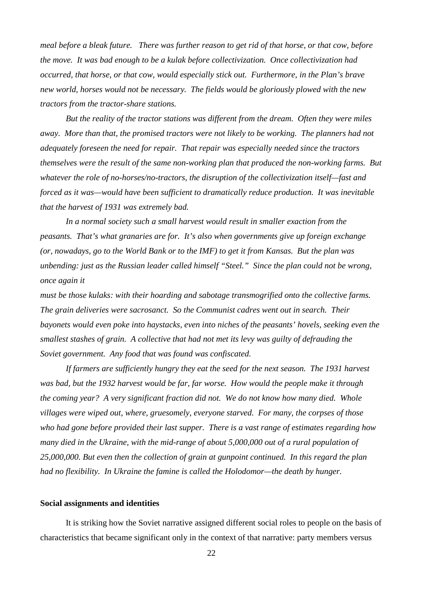*meal before a bleak future. There was further reason to get rid of that horse, or that cow, before the move. It was bad enough to be a kulak before collectivization. Once collectivization had occurred, that horse, or that cow, would especially stick out. Furthermore, in the Plan's brave new world, horses would not be necessary. The fields would be gloriously plowed with the new tractors from the tractor-share stations.* 

*But the reality of the tractor stations was different from the dream. Often they were miles away. More than that, the promised tractors were not likely to be working. The planners had not adequately foreseen the need for repair. That repair was especially needed since the tractors themselves were the result of the same non-working plan that produced the non-working farms. But whatever the role of no-horses/no-tractors, the disruption of the collectivization itself—fast and forced as it was—would have been sufficient to dramatically reduce production. It was inevitable that the harvest of 1931 was extremely bad.* 

*In a normal society such a small harvest would result in smaller exaction from the peasants. That's what granaries are for. It's also when governments give up foreign exchange (or, nowadays, go to the World Bank or to the IMF) to get it from Kansas. But the plan was unbending: just as the Russian leader called himself "Steel." Since the plan could not be wrong, once again it*

*must be those kulaks: with their hoarding and sabotage transmogrified onto the collective farms. The grain deliveries were sacrosanct. So the Communist cadres went out in search. Their bayonets would even poke into haystacks, even into niches of the peasants' hovels, seeking even the smallest stashes of grain. A collective that had not met its levy was guilty of defrauding the Soviet government. Any food that was found was confiscated.*

*If farmers are sufficiently hungry they eat the seed for the next season. The 1931 harvest was bad, but the 1932 harvest would be far, far worse. How would the people make it through the coming year? A very significant fraction did not. We do not know how many died. Whole villages were wiped out, where, gruesomely, everyone starved. For many, the corpses of those who had gone before provided their last supper. There is a vast range of estimates regarding how many died in the Ukraine, with the mid-range of about 5,000,000 out of a rural population of 25,000,000. But even then the collection of grain at gunpoint continued. In this regard the plan had no flexibility. In Ukraine the famine is called the Holodomor—the death by hunger.* 

## **Social assignments and identities**

It is striking how the Soviet narrative assigned different social roles to people on the basis of characteristics that became significant only in the context of that narrative: party members versus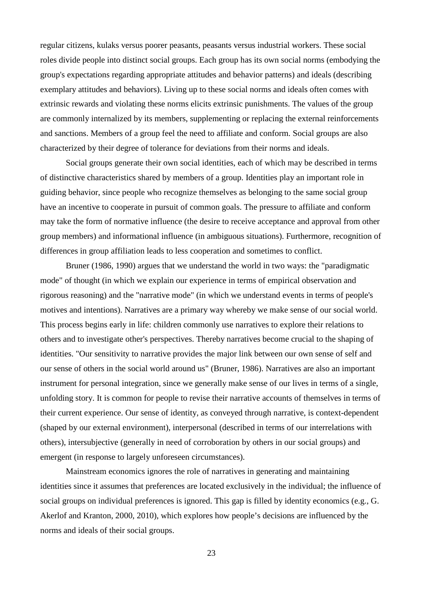regular citizens, kulaks versus poorer peasants, peasants versus industrial workers. These social roles divide people into distinct social groups. Each group has its own social norms (embodying the group's expectations regarding appropriate attitudes and behavior patterns) and ideals (describing exemplary attitudes and behaviors). Living up to these social norms and ideals often comes with extrinsic rewards and violating these norms elicits extrinsic punishments. The values of the group are commonly internalized by its members, supplementing or replacing the external reinforcements and sanctions. Members of a group feel the need to affiliate and conform. Social groups are also characterized by their degree of tolerance for deviations from their norms and ideals.

Social groups generate their own social identities, each of which may be described in terms of distinctive characteristics shared by members of a group. Identities play an important role in guiding behavior, since people who recognize themselves as belonging to the same social group have an incentive to cooperate in pursuit of common goals. The pressure to affiliate and conform may take the form of normative influence (the desire to receive acceptance and approval from other group members) and informational influence (in ambiguous situations). Furthermore, recognition of differences in group affiliation leads to less cooperation and sometimes to conflict.

Bruner (1986, 1990) argues that we understand the world in two ways: the "paradigmatic mode" of thought (in which we explain our experience in terms of empirical observation and rigorous reasoning) and the "narrative mode" (in which we understand events in terms of people's motives and intentions). Narratives are a primary way whereby we make sense of our social world. This process begins early in life: children commonly use narratives to explore their relations to others and to investigate other's perspectives. Thereby narratives become crucial to the shaping of identities. "Our sensitivity to narrative provides the major link between our own sense of self and our sense of others in the social world around us" (Bruner, 1986). Narratives are also an important instrument for personal integration, since we generally make sense of our lives in terms of a single, unfolding story. It is common for people to revise their narrative accounts of themselves in terms of their current experience. Our sense of identity, as conveyed through narrative, is context-dependent (shaped by our external environment), interpersonal (described in terms of our interrelations with others), intersubjective (generally in need of corroboration by others in our social groups) and emergent (in response to largely unforeseen circumstances).

Mainstream economics ignores the role of narratives in generating and maintaining identities since it assumes that preferences are located exclusively in the individual; the influence of social groups on individual preferences is ignored. This gap is filled by identity economics (e.g., G. Akerlof and Kranton, 2000, 2010), which explores how people's decisions are influenced by the norms and ideals of their social groups.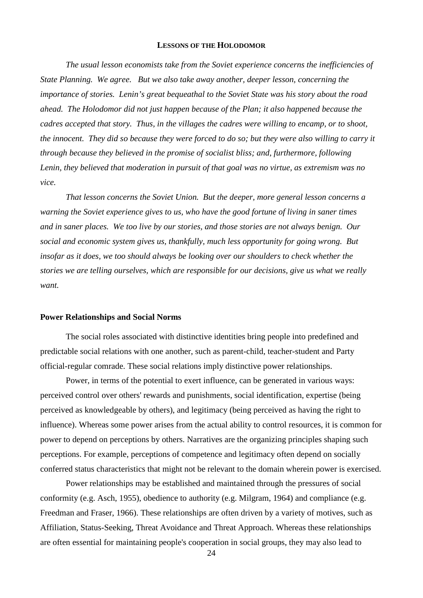## **LESSONS OF THE HOLODOMOR**

*The usual lesson economists take from the Soviet experience concerns the inefficiencies of State Planning. We agree. But we also take away another, deeper lesson, concerning the importance of stories. Lenin's great bequeathal to the Soviet State was his story about the road ahead. The Holodomor did not just happen because of the Plan; it also happened because the cadres accepted that story. Thus, in the villages the cadres were willing to encamp, or to shoot,* the innocent. They did so because they were forced to do so; but they were also willing to carry it *through because they believed in the promise of socialist bliss; and, furthermore, following Lenin, they believed that moderation in pursuit of that goal was no virtue, as extremism was no vice.*

*That lesson concerns the Soviet Union. But the deeper, more general lesson concerns a warning the Soviet experience gives to us, who have the good fortune of living in saner times and in saner places. We too live by our stories, and those stories are not always benign. Our social and economic system gives us, thankfully, much less opportunity for going wrong. But insofar as it does, we too should always be looking over our shoulders to check whether the stories we are telling ourselves, which are responsible for our decisions, give us what we really want.*

### **Power Relationships and Social Norms**

The social roles associated with distinctive identities bring people into predefined and predictable social relations with one another, such as parent-child, teacher-student and Party official-regular comrade. These social relations imply distinctive power relationships.

Power, in terms of the potential to exert influence, can be generated in various ways: perceived control over others' rewards and punishments, social identification, expertise (being perceived as knowledgeable by others), and legitimacy (being perceived as having the right to influence). Whereas some power arises from the actual ability to control resources, it is common for power to depend on perceptions by others. Narratives are the organizing principles shaping such perceptions. For example, perceptions of competence and legitimacy often depend on socially conferred status characteristics that might not be relevant to the domain wherein power is exercised.

Power relationships may be established and maintained through the pressures of social conformity (e.g. Asch, 1955), obedience to authority (e.g. Milgram, 1964) and compliance (e.g. Freedman and Fraser, 1966). These relationships are often driven by a variety of motives, such as Affiliation, Status-Seeking, Threat Avoidance and Threat Approach. Whereas these relationships are often essential for maintaining people's cooperation in social groups, they may also lead to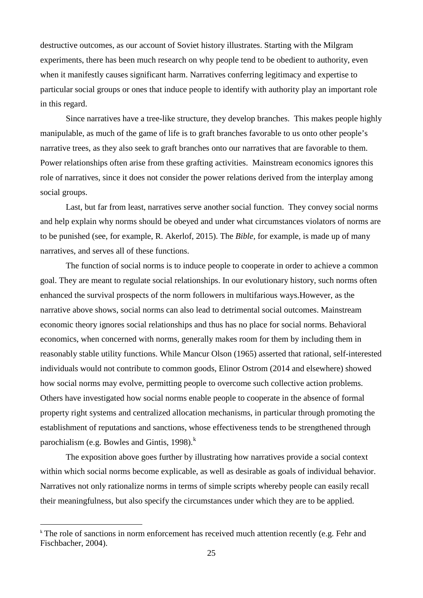destructive outcomes, as our account of Soviet history illustrates. Starting with the Milgram experiments, there has been much research on why people tend to be obedient to authority, even when it manifestly causes significant harm. Narratives conferring legitimacy and expertise to particular social groups or ones that induce people to identify with authority play an important role in this regard.

Since narratives have a tree-like structure, they develop branches. This makes people highly manipulable, as much of the game of life is to graft branches favorable to us onto other people's narrative trees, as they also seek to graft branches onto our narratives that are favorable to them. Power relationships often arise from these grafting activities. Mainstream economics ignores this role of narratives, since it does not consider the power relations derived from the interplay among social groups.

Last, but far from least, narratives serve another social function. They convey social norms and help explain why norms should be obeyed and under what circumstances violators of norms are to be punished (see, for example, R. Akerlof, 2015). The *Bible,* for example, is made up of many narratives, and serves all of these functions.

The function of social norms is to induce people to cooperate in order to achieve a common goal. They are meant to regulate social relationships. In our evolutionary history, such norms often enhanced the survival prospects of the norm followers in multifarious ways.However, as the narrative above shows, social norms can also lead to detrimental social outcomes. Mainstream economic theory ignores social relationships and thus has no place for social norms. Behavioral economics, when concerned with norms, generally makes room for them by including them in reasonably stable utility functions. While Mancur Olson (1965) asserted that rational, self-interested individuals would not contribute to common goods, Elinor Ostrom (2014 and elsewhere) showed how social norms may evolve, permitting people to overcome such collective action problems. Others have investigated how social norms enable people to cooperate in the absence of formal property right systems and centralized allocation mechanisms, in particular through promoting the establishment of reputations and sanctions, whose effectiveness tends to be strengthened through parochialism (e.g. Bowles and Gintis, 1998).<sup>[k](#page-26-0)</sup>

The exposition above goes further by illustrating how narratives provide a social context within which social norms become explicable, as well as desirable as goals of individual behavior. Narratives not only rationalize norms in terms of simple scripts whereby people can easily recall their meaningfulness, but also specify the circumstances under which they are to be applied.

<span id="page-26-0"></span> $k$  The role of sanctions in norm enforcement has received much attention recently (e.g. Fehr and Fischbacher, 2004).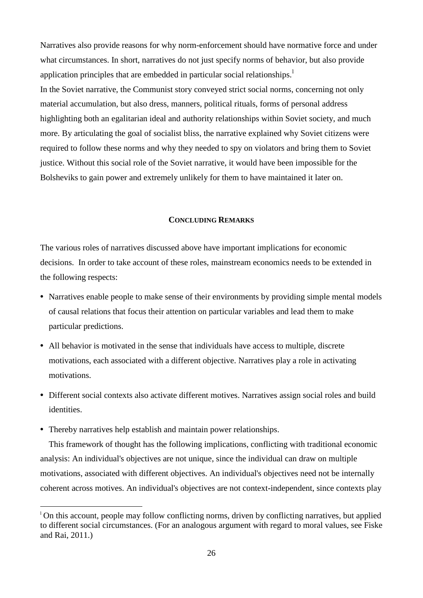Narratives also provide reasons for why norm-enforcement should have normative force and under what circumstances. In short, narratives do not just specify norms of behavior, but also provide app[l](#page-27-0)ication principles that are embedded in particular social relationships.<sup>1</sup>

In the Soviet narrative, the Communist story conveyed strict social norms, concerning not only material accumulation, but also dress, manners, political rituals, forms of personal address highlighting both an egalitarian ideal and authority relationships within Soviet society, and much more. By articulating the goal of socialist bliss, the narrative explained why Soviet citizens were required to follow these norms and why they needed to spy on violators and bring them to Soviet justice. Without this social role of the Soviet narrative, it would have been impossible for the Bolsheviks to gain power and extremely unlikely for them to have maintained it later on.

## **CONCLUDING REMARKS**

The various roles of narratives discussed above have important implications for economic decisions. In order to take account of these roles, mainstream economics needs to be extended in the following respects:

- Narratives enable people to make sense of their environments by providing simple mental models of causal relations that focus their attention on particular variables and lead them to make particular predictions.
- All behavior is motivated in the sense that individuals have access to multiple, discrete motivations, each associated with a different objective. Narratives play a role in activating motivations.
- Different social contexts also activate different motives. Narratives assign social roles and build identities.
- Thereby narratives help establish and maintain power relationships.

This framework of thought has the following implications, conflicting with traditional economic analysis: An individual's objectives are not unique, since the individual can draw on multiple motivations, associated with different objectives. An individual's objectives need not be internally coherent across motives. An individual's objectives are not context-independent, since contexts play

<span id="page-27-0"></span> $\frac{1}{1}$ <sup>1</sup>On this account, people may follow conflicting norms, driven by conflicting narratives, but applied to different social circumstances. (For an analogous argument with regard to moral values, see Fiske and Rai, 2011.)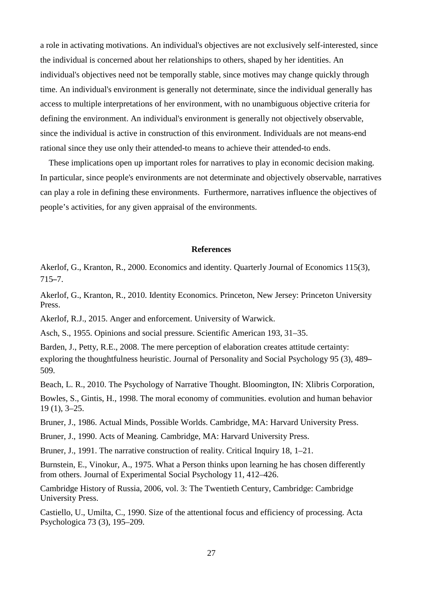a role in activating motivations. An individual's objectives are not exclusively self-interested, since the individual is concerned about her relationships to others, shaped by her identities. An individual's objectives need not be temporally stable, since motives may change quickly through time. An individual's environment is generally not determinate, since the individual generally has access to multiple interpretations of her environment, with no unambiguous objective criteria for defining the environment. An individual's environment is generally not objectively observable, since the individual is active in construction of this environment. Individuals are not means-end rational since they use only their attended-to means to achieve their attended-to ends.

These implications open up important roles for narratives to play in economic decision making. In particular, since people's environments are not determinate and objectively observable, narratives can play a role in defining these environments. Furthermore, narratives influence the objectives of people's activities, for any given appraisal of the environments.

#### **References**

Akerlof, G., Kranton, R., 2000. Economics and identity. Quarterly Journal of Economics 115(3), 715–7.

Akerlof, G., Kranton, R., 2010. Identity Economics. Princeton, New Jersey: Princeton University Press.

Akerlof, R.J., 2015. Anger and enforcement. University of Warwick.

Asch, S., 1955. Opinions and social pressure. Scientific American 193, 31–35.

Barden, J., Petty, R.E., 2008. The mere perception of elaboration creates attitude certainty: exploring the thoughtfulness heuristic. Journal of Personality and Social Psychology 95 (3), 489– 509.

Beach, L. R., 2010. The Psychology of Narrative Thought. Bloomington, IN: Xlibris Corporation,

Bowles, S., Gintis, H., 1998. The moral economy of communities. evolution and human behavior 19 (1), 3–25.

Bruner, J., 1986. Actual Minds, Possible Worlds. Cambridge, MA: Harvard University Press.

Bruner, J., 1990. Acts of Meaning. Cambridge, MA: Harvard University Press.

Bruner, J., 1991. The narrative construction of reality. Critical Inquiry 18, 1–21.

Burnstein, E., Vinokur, A., 1975. What a Person thinks upon learning he has chosen differently from others. Journal of Experimental Social Psychology 11, 412–426.

Cambridge History of Russia, 2006, vol. 3: The Twentieth Century, Cambridge: Cambridge University Press.

Castiello, U., Umilta, C., 1990. Size of the attentional focus and efficiency of processing. Acta Psychologica 73 (3), 195–209.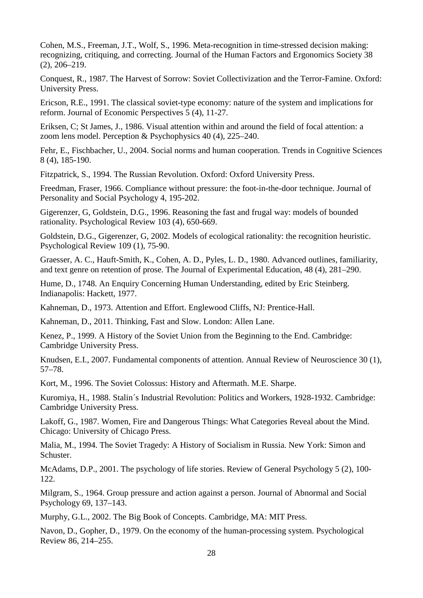Cohen, M.S., Freeman, J.T., Wolf, S., 1996. Meta-recognition in time-stressed decision making: recognizing, critiquing, and correcting. Journal of the Human Factors and Ergonomics Society 38 (2), 206–219.

Conquest, R., 1987. The Harvest of Sorrow: Soviet Collectivization and the Terror-Famine. Oxford: University Press.

Ericson, R.E., 1991. The classical soviet-type economy: nature of the system and implications for reform. Journal of Economic Perspectives 5 (4), 11-27.

Eriksen, C; St James, J., 1986. Visual attention within and around the field of focal attention: a zoom lens model. Perception & Psychophysics 40 (4), 225–240.

Fehr, E., Fischbacher, U., 2004. Social norms and human cooperation. Trends in Cognitive Science[s](http://www.cell.com/trends/cognitive-sciences/issue?pii=S1364-6613%2800%29X0076-9) 8 [\(4\)](http://www.cell.com/trends/cognitive-sciences/issue?pii=S1364-6613%2800%29X0076-9), 185-190.

Fitzpatrick, S., 1994. The Russian Revolution. Oxford: Oxford University Press.

Freedman, Fraser, 1966. Compliance without pressure: the foot-in-the-door technique. Journal of Personality and Social Psychology 4, 195-202.

Gigerenzer, G, Goldstein, D.G., 1996. Reasoning the fast and frugal way: models of bounded rationality. Psychological Review 103 (4), 650-669.

Goldstein, D.G., Gigerenzer, G, 2002. Models of ecological rationality: the recognition heuristic. Psychological Review 109 (1), 75-90.

Graesser, A. C., Hauft-Smith, K., Cohen, A. D., Pyles, L. D., 1980. Advanced outlines, familiarity, and text genre on retention of prose. The Journal of Experimental Education, 48 (4), 281–290.

Hume, D., 1748. An Enquiry Concerning Human Understanding, edited by Eric Steinberg. Indianapolis: Hackett, 1977.

Kahneman, D., 1973. Attention and Effort. Englewood Cliffs, NJ: Prentice-Hall.

Kahneman, D., 2011. Thinking, Fast and Slow. London: Allen Lane.

Kenez, P., 1999. A History of the Soviet Union from the Beginning to the End. Cambridge: Cambridge University Press.

Knudsen, E.I., 2007. Fundamental components of attention. Annual Review of Neuroscience 30 (1), 57–78.

Kort, M., 1996. The Soviet Colossus: History and Aftermath. M.E. Sharpe.

Kuromiya, H., 1988. Stalin´s Industrial Revolution: Politics and Workers, 1928-1932. Cambridge: Cambridge University Press.

Lakoff, G., 1987. Women, Fire and Dangerous Things: What Categories Reveal about the Mind. Chicago: University of Chicago Press.

Malia, M., 1994. The Soviet Tragedy: A History of Socialism in Russia. New York: Simon and Schuster.

McAdams, D.P., 2001. The psychology of life stories. Review of General Psychology 5 (2), 100-122.

Milgram, S., 1964. Group pressure and action against a person. Journal of Abnormal and Social Psychology 69, 137–143.

Murphy, G.L., 2002. The Big Book of Concepts. Cambridge, MA: MIT Press.

Navon, D., Gopher, D., 1979. On the economy of the human-processing system. Psychological Review 86, 214–255.